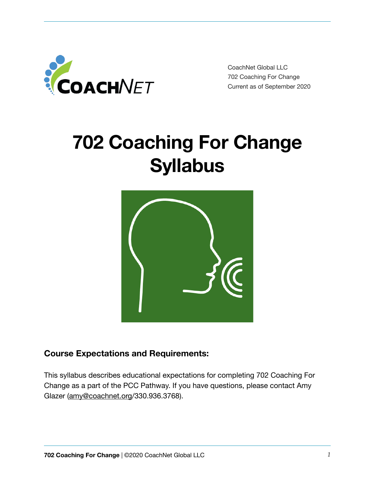

CoachNet Global LLC 702 Coaching For Change Current as of September 2020

# **702 Coaching For Change Syllabus**



## **Course Expectations and Requirements:**

This syllabus describes educational expectations for completing 702 Coaching For Change as a part of the PCC Pathway. If you have questions, please contact Amy Glazer ([amy@coachnet.org/](mailto:amy@coachnet.org)330.936.3768).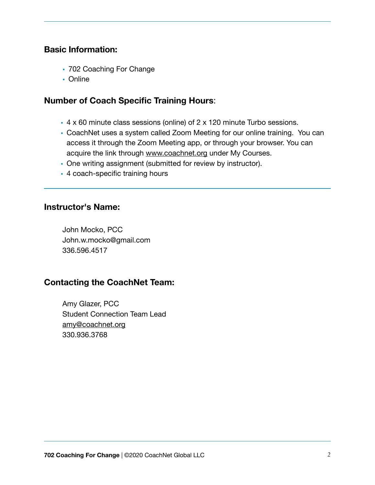## **Basic Information:**

- 702 Coaching For Change
- Online

## **Number of Coach Specific Training Hours**:

- 4 x 60 minute class sessions (online) of 2 x 120 minute Turbo sessions.
- CoachNet uses a system called Zoom Meeting for our online training. You can access it through the Zoom Meeting app, or through your browser. You can acquire the link through [www.coachnet.org](http://www.coachnet.org) under My Courses.
- One writing assignment (submitted for review by instructor).
- 4 coach-specific training hours

#### **Instructor's Name:**

John Mocko, PCC John.w.mocko@gmail.com 336.596.4517

## **Contacting the CoachNet Team:**

Amy Glazer, PCC Student Connection Team Lead [amy@coachnet.org](mailto:amy@coachnet.org) 330.936.3768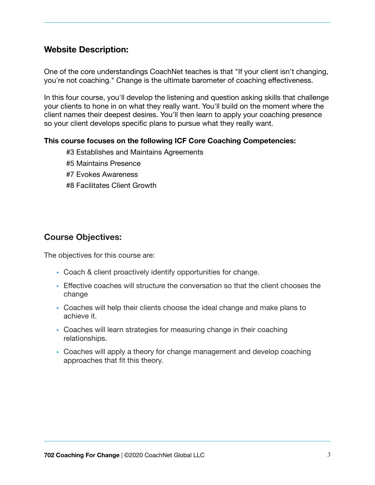## **Website Description:**

One of the core understandings CoachNet teaches is that "If your client isn't changing, you're not coaching." Change is the ultimate barometer of coaching effectiveness.

In this four course, you'll develop the listening and question asking skills that challenge your clients to hone in on what they really want. You'll build on the moment where the client names their deepest desires. You'll then learn to apply your coaching presence so your client develops specific plans to pursue what they really want.

#### **This course focuses on the following ICF Core Coaching Competencies:**

- #3 Establishes and Maintains Agreements
- #5 Maintains Presence
- #7 Evokes Awareness
- #8 Facilitates Client Growth

#### **Course Objectives:**

The objectives for this course are:

- Coach & client proactively identify opportunities for change.
- Effective coaches will structure the conversation so that the client chooses the change
- Coaches will help their clients choose the ideal change and make plans to achieve it.
- Coaches will learn strategies for measuring change in their coaching relationships.
- Coaches will apply a theory for change management and develop coaching approaches that fit this theory.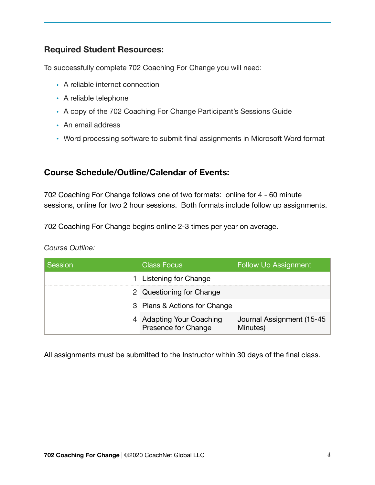## **Required Student Resources:**

To successfully complete 702 Coaching For Change you will need:

- A reliable internet connection
- A reliable telephone
- A copy of the 702 Coaching For Change Participant's Sessions Guide
- An email address
- Word processing software to submit final assignments in Microsoft Word format

## **Course Schedule/Outline/Calendar of Events:**

702 Coaching For Change follows one of two formats: online for 4 - 60 minute sessions, online for two 2 hour sessions. Both formats include follow up assignments.

702 Coaching For Change begins online 2-3 times per year on average.

#### *Course Outline:*

| Session | <b>Class Focus</b>                              | <b>Follow Up Assignment</b>            |
|---------|-------------------------------------------------|----------------------------------------|
|         | 1 Listening for Change                          |                                        |
|         | 2 Questioning for Change                        |                                        |
|         | 3 Plans & Actions for Change                    |                                        |
|         | 4 Adapting Your Coaching<br>Presence for Change | Journal Assignment (15-45)<br>Minutes) |

All assignments must be submitted to the Instructor within 30 days of the final class.